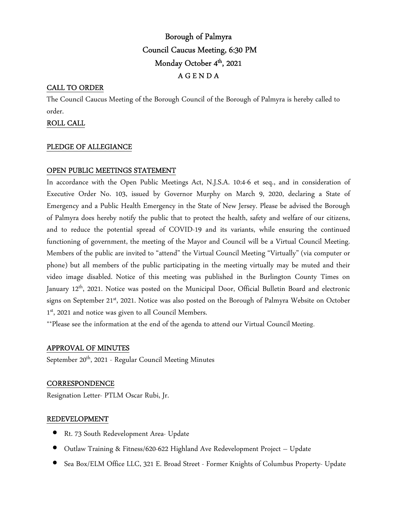# Borough of Palmyra Council Caucus Meeting, 6:30 PM Monday October 4<sup>th</sup>, 2021 A G E N D A

## CALL TO ORDER

The Council Caucus Meeting of the Borough Council of the Borough of Palmyra is hereby called to order.

## ROLL CALL

#### PLEDGE OF ALLEGIANCE

## OPEN PUBLIC MEETINGS STATEMENT

In accordance with the Open Public Meetings Act, N.J.S.A. 10:4-6 et seq., and in consideration of Executive Order No. 103, issued by Governor Murphy on March 9, 2020, declaring a State of Emergency and a Public Health Emergency in the State of New Jersey. Please be advised the Borough of Palmyra does hereby notify the public that to protect the health, safety and welfare of our citizens, and to reduce the potential spread of COVID-19 and its variants, while ensuring the continued functioning of government, the meeting of the Mayor and Council will be a Virtual Council Meeting. Members of the public are invited to "attend" the Virtual Council Meeting "Virtually" (via computer or phone) but all members of the public participating in the meeting virtually may be muted and their video image disabled. Notice of this meeting was published in the Burlington County Times on January 12<sup>th</sup>, 2021. Notice was posted on the Municipal Door, Official Bulletin Board and electronic signs on September 21<sup>st</sup>, 2021. Notice was also posted on the Borough of Palmyra Website on October 1 st, 2021 and notice was given to all Council Members.

\*\*Please see the information at the end of the agenda to attend our Virtual Council Meeting.

#### APPROVAL OF MINUTES

September 20<sup>th</sup>, 2021 - Regular Council Meeting Minutes

#### **CORRESPONDENCE**

Resignation Letter- PTLM Oscar Rubi, Jr.

#### REDEVELOPMENT

- Rt. 73 South Redevelopment Area- Update
- Outlaw Training & Fitness/620-622 Highland Ave Redevelopment Project Update
- Sea Box/ELM Office LLC, 321 E. Broad Street Former Knights of Columbus Property- Update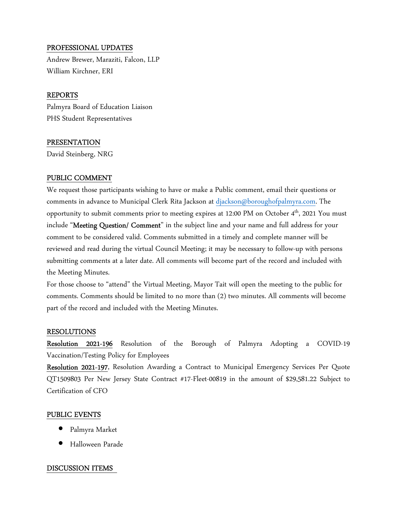## PROFESSIONAL UPDATES

Andrew Brewer, Maraziti, Falcon, LLP William Kirchner, ERI

## REPORTS

Palmyra Board of Education Liaison PHS Student Representatives

## PRESENTATION

David Steinberg, NRG

## PUBLIC COMMENT

We request those participants wishing to have or make a Public comment, email their questions or comments in advance to Municipal Clerk Rita Jackson at djackson@boroughofpalmyra.com. The opportunity to submit comments prior to meeting expires at 12:00 PM on October 4<sup>th</sup>, 2021 You must include "Meeting Question/ Comment" in the subject line and your name and full address for your comment to be considered valid. Comments submitted in a timely and complete manner will be reviewed and read during the virtual Council Meeting; it may be necessary to follow-up with persons submitting comments at a later date. All comments will become part of the record and included with the Meeting Minutes.

For those choose to "attend" the Virtual Meeting, Mayor Tait will open the meeting to the public for comments. Comments should be limited to no more than (2) two minutes. All comments will become part of the record and included with the Meeting Minutes.

#### RESOLUTIONS

Resolution 2021-196 Resolution of the Borough of Palmyra Adopting a COVID-19 Vaccination/Testing Policy for Employees

Resolution 2021-197, Resolution Awarding a Contract to Municipal Emergency Services Per Quote QT1509803 Per New Jersey State Contract #17-Fleet-00819 in the amount of \$29,581.22 Subject to Certification of CFO

#### PUBLIC EVENTS

- Palmyra Market
- Halloween Parade

#### DISCUSSION ITEMS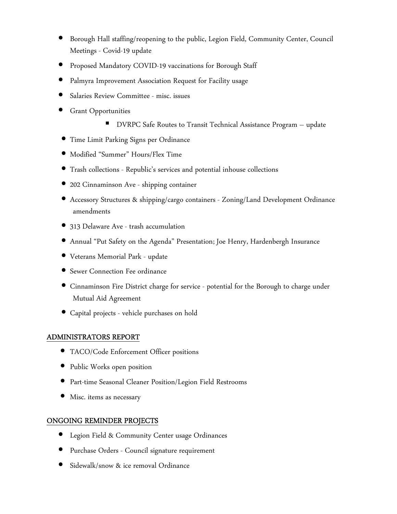- Borough Hall staffing/reopening to the public, Legion Field, Community Center, Council Meetings - Covid-19 update
- Proposed Mandatory COVID-19 vaccinations for Borough Staff
- Palmyra Improvement Association Request for Facility usage
- Salaries Review Committee misc. issues
- Grant Opportunities
	- DVRPC Safe Routes to Transit Technical Assistance Program update
- Time Limit Parking Signs per Ordinance
- Modified "Summer" Hours/Flex Time
- Trash collections Republic's services and potential inhouse collections
- 202 Cinnaminson Ave shipping container
- Accessory Structures & shipping/cargo containers Zoning/Land Development Ordinance amendments
- 313 Delaware Ave trash accumulation
- Annual "Put Safety on the Agenda" Presentation; Joe Henry, Hardenbergh Insurance
- Veterans Memorial Park update
- Sewer Connection Fee ordinance
- Cinnaminson Fire District charge for service potential for the Borough to charge under Mutual Aid Agreement
- Capital projects vehicle purchases on hold

# ADMINISTRATORS REPORT

- TACO/Code Enforcement Officer positions
- Public Works open position
- Part-time Seasonal Cleaner Position/Legion Field Restrooms
- Misc. items as necessary

# ONGOING REMINDER PROJECTS

- Legion Field & Community Center usage Ordinances
- Purchase Orders Council signature requirement
- Sidewalk/snow & ice removal Ordinance